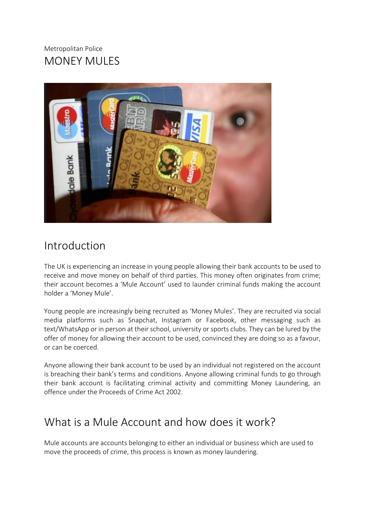### Metropolitan Police MONEY MULES



# Introduction

The UK is experiencing an increase in young people allowing their bank accounts to be used to receive and move money on behalf of third parties. This money often originates from crime; their account becomes a 'Mule Account' used to launder criminal funds making the account holder a 'Money Mule'.

Young people are increasingly being recruited as 'Money Mules'. They are recruited via social media platforms such as Snapchat, Instagram or Facebook, other messaging such as text/WhatsApp or in person at their school, university or sports clubs. They can be lured by the offer of money for allowing their account to be used, convinced they are doing so as a favour, or can be coerced.

Anyone allowing their bank account to be used by an individual not registered on the account is breaching their bank's terms and conditions. Anyone allowing criminal funds to go through their bank account is facilitating criminal activity and committing Money Laundering, an offence under the Proceeds of Crime Act 2002.

# What is a Mule Account and how does it work?

Mule accounts are accounts belonging to either an individual or business which are used to move the proceeds of crime, this process is known as money laundering.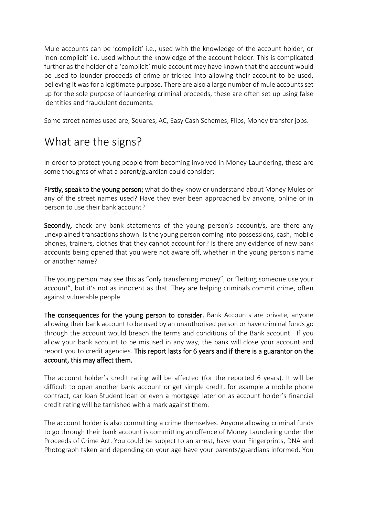Mule accounts can be 'complicit' i.e., used with the knowledge of the account holder, or 'non-complicit' i.e. used without the knowledge of the account holder. This is complicated further as the holder of a 'complicit' mule account may have known that the account would be used to launder proceeds of crime or tricked into allowing their account to be used, believing it was for a legitimate purpose. There are also a large number of mule accounts set up for the sole purpose of laundering criminal proceeds, these are often set up using false identities and fraudulent documents.

Some street names used are; Squares, AC, Easy Cash Schemes, Flips, Money transfer jobs.

# What are the signs?

In order to protect young people from becoming involved in Money Laundering, these are some thoughts of what a parent/guardian could consider;

Firstly, speak to the young person; what do they know or understand about Money Mules or any of the street names used? Have they ever been approached by anyone, online or in person to use their bank account?

Secondly, check any bank statements of the young person's account/s, are there any unexplained transactions shown. Is the young person coming into possessions, cash, mobile phones, trainers, clothes that they cannot account for? Is there any evidence of new bank accounts being opened that you were not aware off, whether in the young person's name or another name?

The young person may see this as "only transferring money", or "letting someone use your account", but it's not as innocent as that. They are helping criminals commit crime, often against vulnerable people.

The consequences for the young person to consider, Bank Accounts are private, anyone allowing their bank account to be used by an unauthorised person or have criminal funds go through the account would breach the terms and conditions of the Bank account. If you allow your bank account to be misused in any way, the bank will close your account and report you to credit agencies. This report lasts for 6 years and if there is a guarantor on the account, this may affect them.

The account holder's credit rating will be affected (for the reported 6 years). It will be difficult to open another bank account or get simple credit, for example a mobile phone contract, car loan Student loan or even a mortgage later on as account holder's financial credit rating will be tarnished with a mark against them.

The account holder is also committing a crime themselves. Anyone allowing criminal funds to go through their bank account is committing an offence of Money Laundering under the Proceeds of Crime Act. You could be subject to an arrest, have your Fingerprints, DNA and Photograph taken and depending on your age have your parents/guardians informed. You